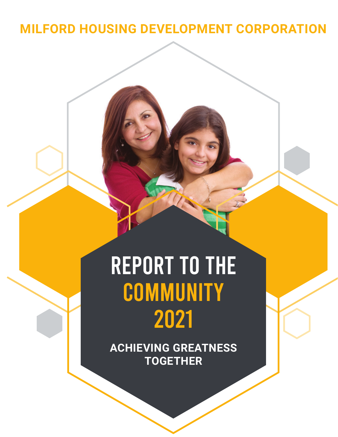### **MILFORD HOUSING DEVELOPMENT CORPORATION**

# REPORT TO THE **COMMUNITY** 2021

**ACHIEVING GREATNESS TOGETHER**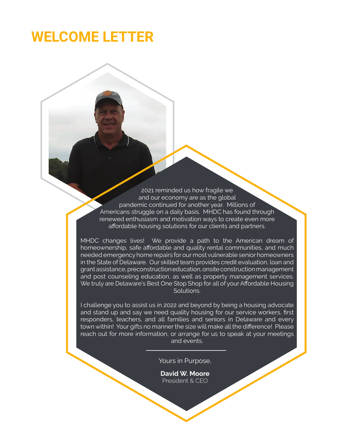### **WELCOME LETTER**

2021 reminded us how fragile we and our economy are as the global pandemic continued for another year. Millions of Americans struggle on a daily basis. MHDC has found through renewed enthusiasm and motivation ways to create even more affordable housing solutions for our clients and partners.

MHDC changes lives! We provide a path to the American dream of homeownership, safe affordable and quality rental communities, and much needed emergency home repairs for our most vulnerable senior homeowners in the State of Delaware. Our skilled team provides credit evaluation, loan and grant assistance, preconstruction education, onsite construction management and post counseling education, as well as property management services. We truly are Delaware's Best One Stop Shop for all of your Affordable Housing Solutions.

I challenge you to assist us in 2022 and beyond by being a housing advocate and stand up and say we need quality housing for our service workers, first responders, teachers, and all families and seniors in Delaware and every town within! Your gifts no manner the size will make all the difference! Please reach out for more information, or arrange for us to speak at your meetings and events.

Yours in Purpose,

**David W. Moore** President & CEO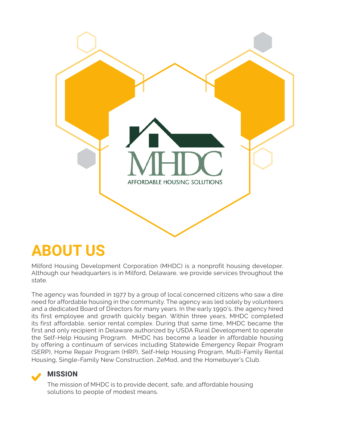

### **ABOUT US**

Milford Housing Development Corporation (MHDC) is a nonprofit housing developer. Although our headquarters is in Milford, Delaware, we provide services throughout the state.

The agency was founded in 1977 by a group of local concerned citizens who saw a dire need for affordable housing in the community. The agency was led solely by volunteers and a dedicated Board of Directors for many years. In the early 1990's, the agency hired its first employee and growth quickly began. Within three years, MHDC completed its first affordable, senior rental complex. During that same time, MHDC became the first and only recipient in Delaware authorized by USDA Rural Development to operate the Self-Help Housing Program. MHDC has become a leader in affordable housing by offering a continuum of services including Statewide Emergency Repair Program (SERP), Home Repair Program (HRP), Self-Help Housing Program, Multi-Family Rental Housing, Single-Family New Construction, ZeMod, and the Homebuyer's Club.

#### **MISSION**

The mission of MHDC is to provide decent, safe, and affordable housing solutions to people of modest means.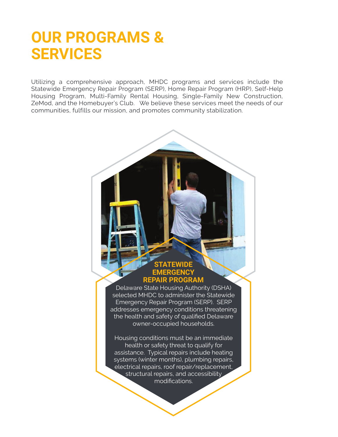### **OUR PROGRAMS & SERVICES**

Utilizing a comprehensive approach, MHDC programs and services include the Statewide Emergency Repair Program (SERP), Home Repair Program (HRP), Self-Help Housing Program, Multi-Family Rental Housing, Single-Family New Construction, ZeMod, and the Homebuyer's Club. We believe these services meet the needs of our communities, fulfills our mission, and promotes community stabilization.



Delaware State Housing Authority (DSHA) selected MHDC to administer the Statewide Emergency Repair Program (SERP). SERP addresses emergency conditions threatening the health and safety of qualified Delaware owner-occupied households.

Housing conditions must be an immediate health or safety threat to qualify for assistance. Typical repairs include heating systems (winter months), plumbing repairs, electrical repairs, roof repair/replacement, structural repairs, and accessibility modifications.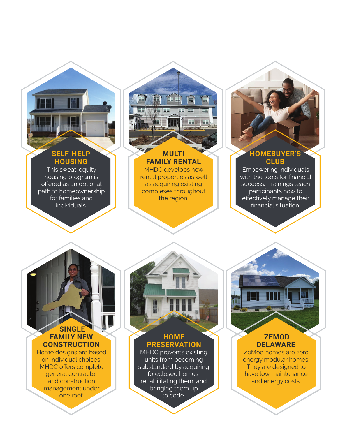#### **SELF-HELP HOUSING**

This sweat-equity housing program is offered as an optional path to homeownership for families and individuals.



#### **MULTI FAMILY RENTAL**

MHDC develops new rental properties as well as acquiring existing complexes throughout the region.



#### **HOMEBUYER'S CLUB**

Empowering individuals with the tools for financial success. Trainings teach participants how to effectively manage their financial situation.

#### **SINGLE FAMILY NEW CONSTRUCTION**

Home designs are based on individual choices. MHDC offers complete general contractor and construction management under one roof.

#### **HOME PRESERVATION**

MHDC prevents existing units from becoming substandard by acquiring foreclosed homes, rehabilitating them, and bringing them up to code.

#### **ZEMOD DELAWARE**

ZeMod homes are zero energy modular homes. They are designed to have low maintenance and energy costs.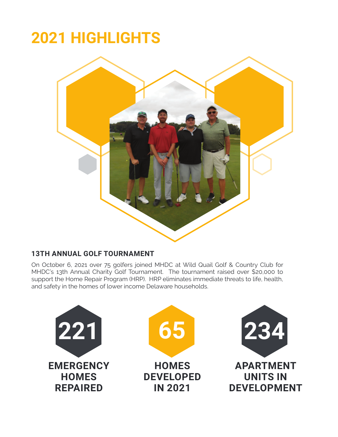## **2021 HIGHLIGHTS**



#### **13TH ANNUAL GOLF TOURNAMENT**

On October 6, 2021 over 75 golfers joined MHDC at Wild Quail Golf & Country Club for MHDC's 13th Annual Charity Golf Tournament. The tournament raised over \$20,000 to support the Home Repair Program (HRP). HRP eliminates immediate threats to life, health, and safety in the homes of lower income Delaware households.

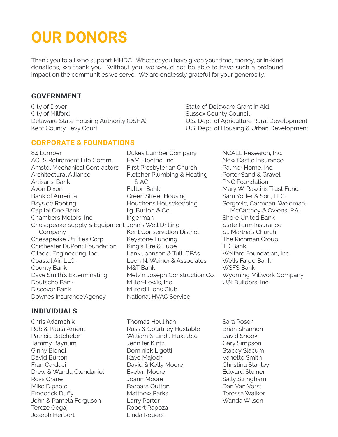### **OUR DONORS**

Thank you to all who support MHDC. Whether you have given your time, money, or in-kind donations, we thank you. Without you, we would not be able to have such a profound impact on the communities we serve. We are endlessly grateful for your generosity.

#### **GOVERNMENT**

City of Dover City of Milford Delaware State Housing Authority (DSHA) Kent County Levy Court

State of Delaware Grant in Aid Sussex County Council U.S. Dept. of Agriculture Rural Development U.S. Dept. of Housing & Urban Development

#### **CORPORATE & FOUNDATIONS**

84 Lumber ACTS Retirement Life Comm. Amstel Mechanical Contractors Architectural Alliance Artisans' Bank Avon Dixon Bank of America Bayside Roofing Capital One Bank Chambers Motors, Inc. Chesapeake Supply & Equipment John's Well Drilling Company Chesapeake Utilities Corp. Chichester DuPont Foundation Citadel Engineering, Inc. Coastal Air, LLC. County Bank Dave Smith's Exterminating Deutsche Bank Discover Bank Downes Insurance Agency

#### Dukes Lumber Company F&M Electric, Inc. First Presbyterian Church Fletcher Plumbing & Heating & AC Fulton Bank Green Street Housing Houchens Housekeeping i.g. Burton & Co. Ingerman Kent Conservation District Keystone Funding King's Tire & Lube Lank Johnson & Tull, CPAs Leon N. Weiner & Associates M&T Bank Melvin Joseph Construction Co. Miller-Lewis, Inc. Milford Lions Club National HVAC Service

NCALL Research, Inc. New Castle Insurance Palmer Home, Inc. Porter Sand & Gravel PNC Foundation Mary W. Rawlins Trust Fund Sam Yoder & Son, LLC. Sergovic, Carmean, Weidman, McCartney & Owens, P.A. Shore United Bank State Farm Insurance St. Martha's Church The Richman Group TD Bank Welfare Foundation, Inc. Wells Fargo Bank WSFS Bank Wyoming Millwork Company U&I Builders, Inc.

#### **INDIVIDUALS**

Chris Adamchik Rob & Paula Ament Patricia Batchelor Tammy Baynum Ginny Biondi David Burton Fran Cardaci Drew & Wanda Clendaniel Ross Crane Mike Dipaolo Frederick Duffy John & Pamela Ferguson Tereze Gegaj Joseph Herbert

Thomas Houlihan Russ & Courtney Huxtable William & Linda Huxtable Jennifer Kintz Dominick Ligotti Kaye Majoch David & Kelly Moore Evelyn Moore Joann Moore Barbara Outten Matthew Parks Larry Porter Robert Rapoza Linda Rogers

Sara Rosen Brian Shannon David Shook Gary Simpson Stacey Slacum Vanette Smith Christina Stanley Edward Steiner Sally Stringham Dan Van Vorst Teressa Walker Wanda Wilson